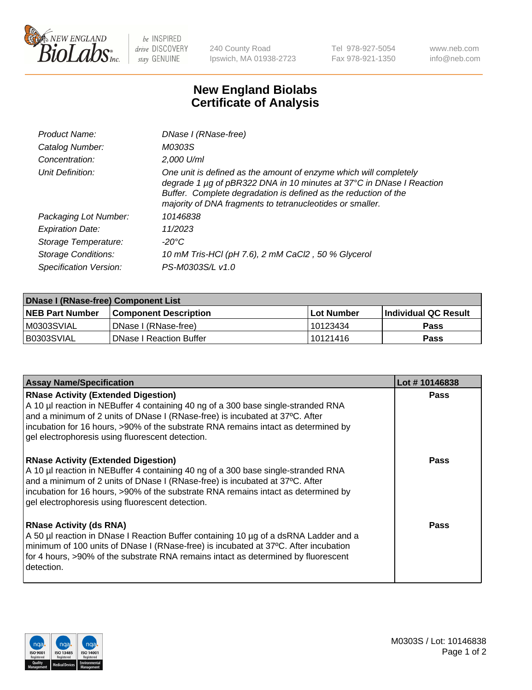

be INSPIRED drive DISCOVERY stay GENUINE

240 County Road Ipswich, MA 01938-2723 Tel 978-927-5054 Fax 978-921-1350 www.neb.com info@neb.com

## **New England Biolabs Certificate of Analysis**

| Product Name:              | DNase I (RNase-free)                                                                                                                                                                                                                                                      |
|----------------------------|---------------------------------------------------------------------------------------------------------------------------------------------------------------------------------------------------------------------------------------------------------------------------|
| Catalog Number:            | M0303S                                                                                                                                                                                                                                                                    |
| Concentration:             | 2,000 U/ml                                                                                                                                                                                                                                                                |
| Unit Definition:           | One unit is defined as the amount of enzyme which will completely<br>degrade 1 µg of pBR322 DNA in 10 minutes at 37°C in DNase I Reaction<br>Buffer. Complete degradation is defined as the reduction of the<br>majority of DNA fragments to tetranucleotides or smaller. |
| Packaging Lot Number:      | 10146838                                                                                                                                                                                                                                                                  |
| <b>Expiration Date:</b>    | 11/2023                                                                                                                                                                                                                                                                   |
| Storage Temperature:       | -20°C                                                                                                                                                                                                                                                                     |
| <b>Storage Conditions:</b> | 10 mM Tris-HCl (pH 7.6), 2 mM CaCl2, 50 % Glycerol                                                                                                                                                                                                                        |
| Specification Version:     | PS-M0303S/L v1.0                                                                                                                                                                                                                                                          |

| <b>DNase I (RNase-free) Component List</b> |                              |            |                             |  |  |
|--------------------------------------------|------------------------------|------------|-----------------------------|--|--|
| <b>NEB Part Number</b>                     | <b>Component Description</b> | Lot Number | <b>Individual QC Result</b> |  |  |
| M0303SVIAL                                 | DNase I (RNase-free)         | 10123434   | <b>Pass</b>                 |  |  |
| I B0303SVIAL                               | l DNase I Reaction Buffer    | 10121416   | <b>Pass</b>                 |  |  |

| <b>Assay Name/Specification</b>                                                                                                                                                                                                                                                                                                                           | Lot #10146838 |
|-----------------------------------------------------------------------------------------------------------------------------------------------------------------------------------------------------------------------------------------------------------------------------------------------------------------------------------------------------------|---------------|
| <b>RNase Activity (Extended Digestion)</b><br>A 10 µl reaction in NEBuffer 4 containing 40 ng of a 300 base single-stranded RNA<br>and a minimum of 2 units of DNase I (RNase-free) is incubated at 37°C. After<br>incubation for 16 hours, >90% of the substrate RNA remains intact as determined by<br>gel electrophoresis using fluorescent detection. | <b>Pass</b>   |
| <b>RNase Activity (Extended Digestion)</b><br>A 10 µl reaction in NEBuffer 4 containing 40 ng of a 300 base single-stranded RNA<br>and a minimum of 2 units of DNase I (RNase-free) is incubated at 37°C. After<br>incubation for 16 hours, >90% of the substrate RNA remains intact as determined by<br>gel electrophoresis using fluorescent detection. | Pass          |
| <b>RNase Activity (ds RNA)</b><br>A 50 µl reaction in DNase I Reaction Buffer containing 10 µg of a dsRNA Ladder and a<br>minimum of 100 units of DNase I (RNase-free) is incubated at 37°C. After incubation<br>for 4 hours, >90% of the substrate RNA remains intact as determined by fluorescent<br>detection.                                         | Pass          |